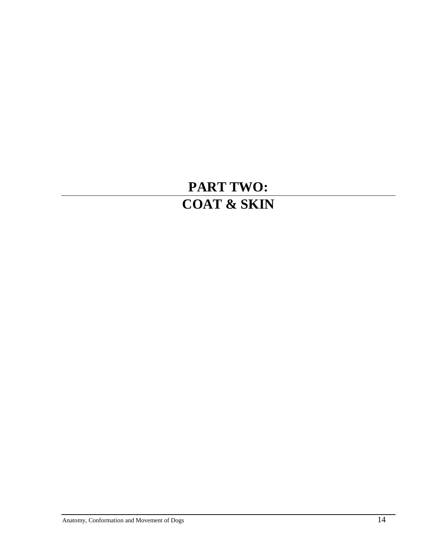# **PART TWO: COAT & SKIN**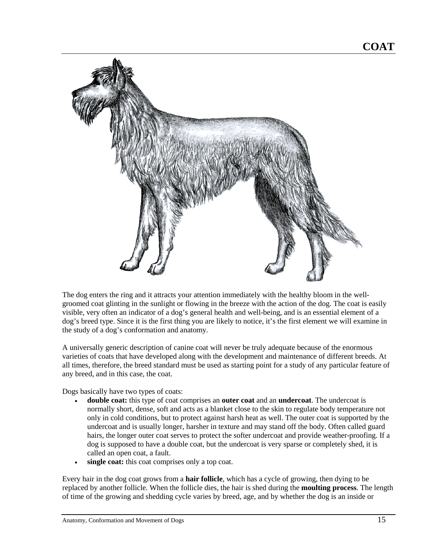

The dog enters the ring and it attracts your attention immediately with the healthy bloom in the wellgroomed coat glinting in the sunlight or flowing in the breeze with the action of the dog. The coat is easily visible, very often an indicator of a dog's general health and well-being, and is an essential element of a dog's breed type. Since it is the first thing you are likely to notice, it's the first element we will examine in the study of a dog's conformation and anatomy.

A universally generic description of canine coat will never be truly adequate because of the enormous varieties of coats that have developed along with the development and maintenance of different breeds. At all times, therefore, the breed standard must be used as starting point for a study of any particular feature of any breed, and in this case, the coat.

Dogs basically have two types of coats:

- **double coat:** this type of coat comprises an **outer coat** and an **undercoat**. The undercoat is normally short, dense, soft and acts as a blanket close to the skin to regulate body temperature not only in cold conditions, but to protect against harsh heat as well. The outer coat is supported by the undercoat and is usually longer, harsher in texture and may stand off the body. Often called guard hairs, the longer outer coat serves to protect the softer undercoat and provide weather-proofing. If a dog is supposed to have a double coat, but the undercoat is very sparse or completely shed, it is called an open coat, a fault.
- single coat: this coat comprises only a top coat.

Every hair in the dog coat grows from a **hair follicle**, which has a cycle of growing, then dying to be replaced by another follicle. When the follicle dies, the hair is shed during the **moulting process**. The length of time of the growing and shedding cycle varies by breed, age, and by whether the dog is an inside or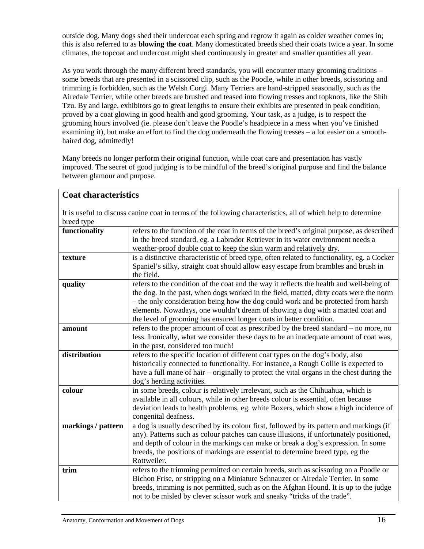outside dog. Many dogs shed their undercoat each spring and regrow it again as colder weather comes in; this is also referred to as **blowing the coat**. Many domesticated breeds shed their coats twice a year. In some climates, the topcoat and undercoat might shed continuously in greater and smaller quantities all year.

As you work through the many different breed standards, you will encounter many grooming traditions – some breeds that are presented in a scissored clip, such as the Poodle, while in other breeds, scissoring and trimming is forbidden, such as the Welsh Corgi. Many Terriers are hand-stripped seasonally, such as the Airedale Terrier, while other breeds are brushed and teased into flowing tresses and topknots, like the Shih Tzu. By and large, exhibitors go to great lengths to ensure their exhibits are presented in peak condition, proved by a coat glowing in good health and good grooming. Your task, as a judge, is to respect the grooming hours involved (ie. please don't leave the Poodle's headpiece in a mess when you've finished examining it), but make an effort to find the dog underneath the flowing tresses – a lot easier on a smoothhaired dog, admittedly!

Many breeds no longer perform their original function, while coat care and presentation has vastly improved. The secret of good judging is to be mindful of the breed's original purpose and find the balance between glamour and purpose.

| <b>Coat characteristics</b>                                                                                   |                                                                                                                                                                              |
|---------------------------------------------------------------------------------------------------------------|------------------------------------------------------------------------------------------------------------------------------------------------------------------------------|
| It is useful to discuss canine coat in terms of the following characteristics, all of which help to determine |                                                                                                                                                                              |
| breed type                                                                                                    |                                                                                                                                                                              |
| functionality                                                                                                 | refers to the function of the coat in terms of the breed's original purpose, as described                                                                                    |
|                                                                                                               | in the breed standard, eg. a Labrador Retriever in its water environment needs a                                                                                             |
|                                                                                                               | weather-proof double coat to keep the skin warm and relatively dry.                                                                                                          |
| texture                                                                                                       | is a distinctive characteristic of breed type, often related to functionality, eg. a Cocker                                                                                  |
|                                                                                                               | Spaniel's silky, straight coat should allow easy escape from brambles and brush in                                                                                           |
|                                                                                                               | the field.                                                                                                                                                                   |
| quality                                                                                                       | refers to the condition of the coat and the way it reflects the health and well-being of                                                                                     |
|                                                                                                               | the dog. In the past, when dogs worked in the field, matted, dirty coats were the norm                                                                                       |
|                                                                                                               | - the only consideration being how the dog could work and be protected from harsh<br>elements. Nowadays, one wouldn't dream of showing a dog with a matted coat and          |
|                                                                                                               | the level of grooming has ensured longer coats in better condition.                                                                                                          |
| amount                                                                                                        | refers to the proper amount of coat as prescribed by the breed standard – no more, no                                                                                        |
|                                                                                                               | less. Ironically, what we consider these days to be an inadequate amount of coat was,                                                                                        |
|                                                                                                               | in the past, considered too much!                                                                                                                                            |
| distribution                                                                                                  | refers to the specific location of different coat types on the dog's body, also                                                                                              |
|                                                                                                               | historically connected to functionality. For instance, a Rough Collie is expected to                                                                                         |
|                                                                                                               | have a full mane of hair – originally to protect the vital organs in the chest during the                                                                                    |
|                                                                                                               | dog's herding activities.                                                                                                                                                    |
| colour                                                                                                        | in some breeds, colour is relatively irrelevant, such as the Chihuahua, which is                                                                                             |
|                                                                                                               | available in all colours, while in other breeds colour is essential, often because                                                                                           |
|                                                                                                               | deviation leads to health problems, eg. white Boxers, which show a high incidence of                                                                                         |
|                                                                                                               | congenital deafness.                                                                                                                                                         |
| markings / pattern                                                                                            | a dog is usually described by its colour first, followed by its pattern and markings (if                                                                                     |
|                                                                                                               | any). Patterns such as colour patches can cause illusions, if unfortunately positioned,<br>and depth of colour in the markings can make or break a dog's expression. In some |
|                                                                                                               | breeds, the positions of markings are essential to determine breed type, eg the                                                                                              |
|                                                                                                               | Rottweiler.                                                                                                                                                                  |
| trim                                                                                                          | refers to the trimming permitted on certain breeds, such as scissoring on a Poodle or                                                                                        |
|                                                                                                               | Bichon Frise, or stripping on a Miniature Schnauzer or Airedale Terrier. In some                                                                                             |
|                                                                                                               | breeds, trimming is not permitted, such as on the Afghan Hound. It is up to the judge                                                                                        |
|                                                                                                               | not to be misled by clever scissor work and sneaky "tricks of the trade".                                                                                                    |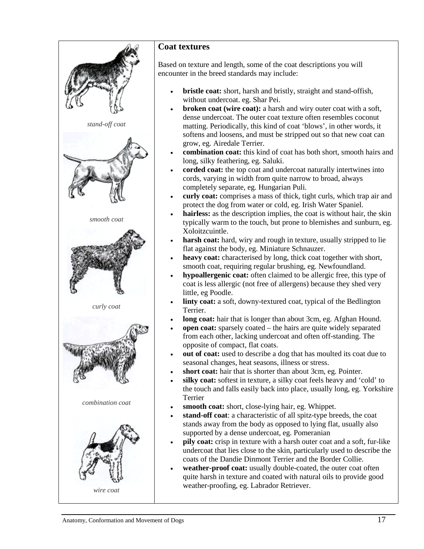

## **Coat textures**

Based on texture and length, some of the coat descriptions you will encounter in the breed standards may include:

- **bristle coat:** short, harsh and bristly, straight and stand-offish, without undercoat. eg. Shar Pei.
- **broken coat (wire coat):** a harsh and wiry outer coat with a soft, dense undercoat. The outer coat texture often resembles coconut matting. Periodically, this kind of coat 'blows', in other words, it softens and loosens, and must be stripped out so that new coat can grow, eg. Airedale Terrier.
- **combination coat:** this kind of coat has both short, smooth hairs and long, silky feathering, eg. Saluki.
- **corded coat:** the top coat and undercoat naturally intertwines into cords, varying in width from quite narrow to broad, always completely separate, eg. Hungarian Puli.
- **curly coat:** comprises a mass of thick, tight curls, which trap air and protect the dog from water or cold, eg. Irish Water Spaniel.
- **hairless:** as the description implies, the coat is without hair, the skin typically warm to the touch, but prone to blemishes and sunburn, eg. Xoloitzcuintle.
- harsh coat: hard, wiry and rough in texture, usually stripped to lie flat against the body, eg. Miniature Schnauzer.
- heavy coat: characterised by long, thick coat together with short, smooth coat, requiring regular brushing, eg. Newfoundland.
- **hypoallergenic coat:** often claimed to be allergic free, this type of coat is less allergic (not free of allergens) because they shed very little, eg Poodle.
- linty coat: a soft, downy-textured coat, typical of the Bedlington Terrier.
- **long coat:** hair that is longer than about 3cm, eg. Afghan Hound.
- **open coat:** sparsely coated the hairs are quite widely separated from each other, lacking undercoat and often off-standing. The opposite of compact, flat coats.
- **out of coat:** used to describe a dog that has moulted its coat due to seasonal changes, heat seasons, illness or stress.
- **short coat:** hair that is shorter than about 3cm, eg. Pointer.
- silky coat: softest in texture, a silky coat feels heavy and 'cold' to the touch and falls easily back into place, usually long, eg. Yorkshire Terrier
- smooth coat: short, close-lying hair, eg. Whippet.
- **stand-off coat**: a characteristic of all spitz-type breeds, the coat stands away from the body as opposed to lying flat, usually also supported by a dense undercoat, eg. Pomeranian
- **pily coat:** crisp in texture with a harsh outer coat and a soft, fur-like undercoat that lies close to the skin, particularly used to describe the coats of the Dandie Dinmont Terrier and the Border Collie.
- **weather-proof coat:** usually double-coated, the outer coat often quite harsh in texture and coated with natural oils to provide good weather-proofing, eg. Labrador Retriever.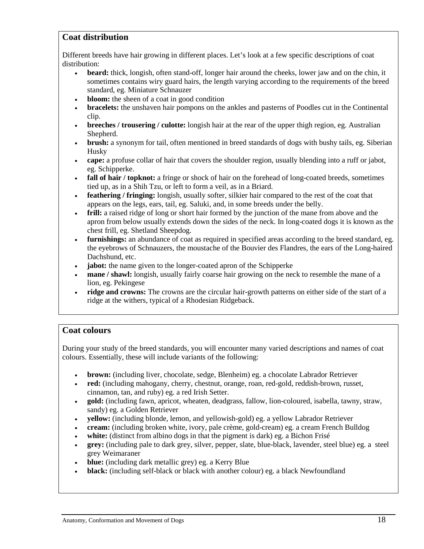## **Coat distribution**

Different breeds have hair growing in different places. Let's look at a few specific descriptions of coat distribution:

- **beard:** thick, longish, often stand-off, longer hair around the cheeks, lower jaw and on the chin, it sometimes contains wiry guard hairs, the length varying according to the requirements of the breed standard, eg. Miniature Schnauzer
- **bloom:** the sheen of a coat in good condition
- **bracelets:** the unshaven hair pompons on the ankles and pasterns of Poodles cut in the Continental clip.
- **breeches / trousering / culotte:** longish hair at the rear of the upper thigh region, eg. Australian Shepherd.
- **brush:** a synonym for tail, often mentioned in breed standards of dogs with bushy tails, eg. Siberian Husky
- **cape:** a profuse collar of hair that covers the shoulder region, usually blending into a ruff or jabot, eg. Schipperke.
- **fall of hair / topknot:** a fringe or shock of hair on the forehead of long-coated breeds, sometimes tied up, as in a Shih Tzu, or left to form a veil, as in a Briard.
- **feathering / fringing:** longish, usually softer, silkier hair compared to the rest of the coat that appears on the legs, ears, tail, eg. Saluki, and, in some breeds under the belly.
- **frill:** a raised ridge of long or short hair formed by the junction of the mane from above and the apron from below usually extends down the sides of the neck. In long-coated dogs it is known as the chest frill, eg. Shetland Sheepdog.
- **furnishings:** an abundance of coat as required in specified areas according to the breed standard, eg. the eyebrows of Schnauzers, the moustache of the Bouvier des Flandres, the ears of the Long-haired Dachshund, etc.
- **jabot:** the name given to the longer-coated apron of the Schipperke
- **mane / shawl:** longish, usually fairly coarse hair growing on the neck to resemble the mane of a lion, eg. Pekingese
- **ridge and crowns:** The crowns are the circular hair-growth patterns on either side of the start of a ridge at the withers, typical of a Rhodesian Ridgeback.

#### **Coat colours**

During your study of the breed standards, you will encounter many varied descriptions and names of coat colours. Essentially, these will include variants of the following:

- **brown:** (including liver, chocolate, sedge, Blenheim) eg. a chocolate Labrador Retriever
- **red:** (including mahogany, cherry, chestnut, orange, roan, red-gold, reddish-brown, russet, cinnamon, tan, and ruby) eg. a red Irish Setter.
- **gold:** (including fawn, apricot, wheaten, deadgrass, fallow, lion-coloured, isabella, tawny, straw, sandy) eg. a Golden Retriever
- **yellow:** (including blonde, lemon, and yellowish-gold) eg. a yellow Labrador Retriever
- **cream:** (including broken white, ivory, pale crème, gold-cream) eg. a cream French Bulldog
- white: (distinct from albino dogs in that the pigment is dark) eg. a Bichon Frisé
- **grey:** (including pale to dark grey, silver, pepper, slate, blue-black, lavender, steel blue) eg. a steel grey Weimaraner
- **blue:** (including dark metallic grey) eg. a Kerry Blue
- **black:** (including self-black or black with another colour) eg. a black Newfoundland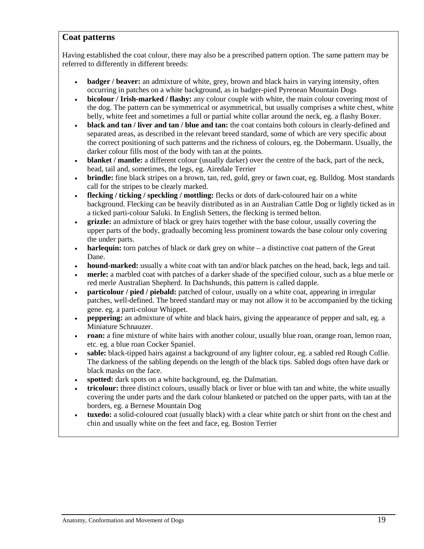#### **Coat patterns**

Having established the coat colour, there may also be a prescribed pattern option. The same pattern may be referred to differently in different breeds:

- **badger / beaver:** an admixture of white, grey, brown and black hairs in varying intensity, often occurring in patches on a white background, as in badger-pied Pyrenean Mountain Dogs
- **bicolour / Irish-marked / flashy:** any colour couple with white, the main colour covering most of the dog. The pattern can be symmetrical or asymmetrical, but usually comprises a white chest, white belly, white feet and sometimes a full or partial white collar around the neck, eg. a flashy Boxer.
- **black and tan / liver and tan / blue and tan:** the coat contains both colours in clearly-defined and separated areas, as described in the relevant breed standard, some of which are very specific about the correct positioning of such patterns and the richness of colours, eg. the Dobermann. Usually, the darker colour fills most of the body with tan at the points.
- **blanket / mantle:** a different colour (usually darker) over the centre of the back, part of the neck, head, tail and, sometimes, the legs, eg. Airedale Terrier
- **brindle:** fine black stripes on a brown, tan, red, gold, grey or fawn coat, eg. Bulldog. Most standards call for the stripes to be clearly marked.
- **flecking / ticking / speckling / mottling:** flecks or dots of dark-coloured hair on a white background. Flecking can be heavily distributed as in an Australian Cattle Dog or lightly ticked as in a ticked parti-colour Saluki. In English Setters, the flecking is termed belton.
- **grizzle:** an admixture of black or grey hairs together with the base colour, usually covering the upper parts of the body, gradually becoming less prominent towards the base colour only covering the under parts.
- **harlequin:** torn patches of black or dark grey on white a distinctive coat pattern of the Great Dane.
- **hound-marked:** usually a white coat with tan and/or black patches on the head, back, legs and tail.
- **merle:** a marbled coat with patches of a darker shade of the specified colour, such as a blue merle or red merle Australian Shepherd. In Dachshunds, this pattern is called dapple.
- **particolour / pied / piebald:** patched of colour, usually on a white coat, appearing in irregular patches, well-defined. The breed standard may or may not allow it to be accompanied by the ticking gene. eg. a parti-colour Whippet.
- **peppering:** an admixture of white and black hairs, giving the appearance of pepper and salt, eg. a Miniature Schnauzer.
- **roan:** a fine mixture of white hairs with another colour, usually blue roan, orange roan, lemon roan, etc. eg. a blue roan Cocker Spaniel.
- **sable:** black-tipped hairs against a background of any lighter colour, eg. a sabled red Rough Collie. The darkness of the sabling depends on the length of the black tips. Sabled dogs often have dark or black masks on the face.
- **spotted:** dark spots on a white background, eg. the Dalmatian.
- **tricolour:** three distinct colours, usually black or liver or blue with tan and white, the white usually covering the under parts and the dark colour blanketed or patched on the upper parts, with tan at the borders, eg. a Bernese Mountain Dog
- **tuxedo:** a solid-coloured coat (usually black) with a clear white patch or shirt front on the chest and chin and usually white on the feet and face, eg. Boston Terrier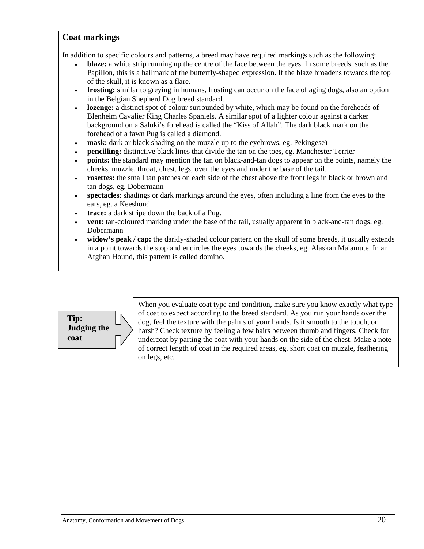### **Coat markings**

In addition to specific colours and patterns, a breed may have required markings such as the following:

- **blaze:** a white strip running up the centre of the face between the eyes. In some breeds, such as the Papillon, this is a hallmark of the butterfly-shaped expression. If the blaze broadens towards the top of the skull, it is known as a flare.
- **frosting:** similar to greying in humans, frosting can occur on the face of aging dogs, also an option in the Belgian Shepherd Dog breed standard.
- **lozenge:** a distinct spot of colour surrounded by white, which may be found on the foreheads of Blenheim Cavalier King Charles Spaniels. A similar spot of a lighter colour against a darker background on a Saluki's forehead is called the "Kiss of Allah". The dark black mark on the forehead of a fawn Pug is called a diamond.
- **mask:** dark or black shading on the muzzle up to the eyebrows, eg. Pekingese)
- **pencilling:** distinctive black lines that divide the tan on the toes, eg. Manchester Terrier
- **points:** the standard may mention the tan on black-and-tan dogs to appear on the points, namely the cheeks, muzzle, throat, chest, legs, over the eyes and under the base of the tail.
- **rosettes:** the small tan patches on each side of the chest above the front legs in black or brown and tan dogs, eg. Dobermann
- **spectacles**: shadings or dark markings around the eyes, often including a line from the eyes to the ears, eg. a Keeshond.
- **trace:** a dark stripe down the back of a Pug.
- **vent:** tan-coloured marking under the base of the tail, usually apparent in black-and-tan dogs, eg. Dobermann
- **widow's peak / cap:** the darkly-shaded colour pattern on the skull of some breeds, it usually extends in a point towards the stop and encircles the eyes towards the cheeks, eg. Alaskan Malamute. In an Afghan Hound, this pattern is called domino.



When you evaluate coat type and condition, make sure you know exactly what type of coat to expect according to the breed standard. As you run your hands over the dog, feel the texture with the palms of your hands. Is it smooth to the touch, or harsh? Check texture by feeling a few hairs between thumb and fingers. Check for undercoat by parting the coat with your hands on the side of the chest. Make a note of correct length of coat in the required areas, eg. short coat on muzzle, feathering on legs, etc.